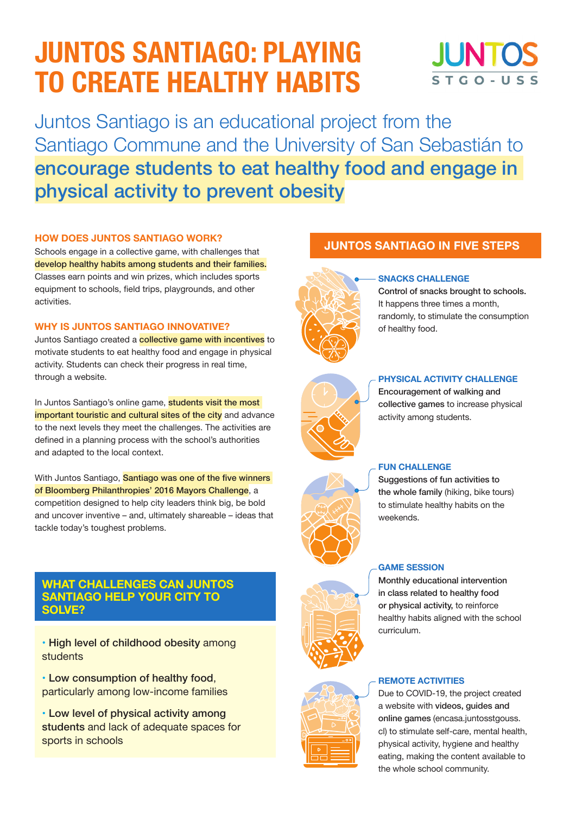# **JUNTOS SANTIAGO: PLAYING TO CREATE HEALTHY HABITS**

# **ILINTO** STGO-USS

Juntos Santiago is an educational project from the Santiago Commune and the University of San Sebastián to encourage students to eat healthy food and engage in physical activity to prevent obesity

#### **HOW DOES JUNTOS SANTIAGO WORK?**

Schools engage in a collective game, with challenges that develop healthy habits among students and their families. Classes earn points and win prizes, which includes sports equipment to schools, field trips, playgrounds, and other activities.

#### **WHY IS JUNTOS SANTIAGO INNOVATIVE?**

Juntos Santiago created a **collective game with incentives** to motivate students to eat healthy food and engage in physical activity. Students can check their progress in real time, through a website.

In Juntos Santiago's online game, **students visit the most** important touristic and cultural sites of the city and advance to the next levels they meet the challenges. The activities are defined in a planning process with the school's authorities and adapted to the local context.

With Juntos Santiago, Santiago was one of the five winners of Bloomberg Philanthropies' 2016 Mayors Challenge, a competition designed to help city leaders think big, be bold and uncover inventive – and, ultimately shareable – ideas that tackle today's toughest problems.

### **WHAT CHALLENGES CAN JUNTOS SANTIAGO HELP YOUR CITY TO SOLVE?**

• High level of childhood obesity among students

• Low consumption of healthy food, particularly among low-income families

• Low level of physical activity among students and lack of adequate spaces for sports in schools

### **JUNTOS SANTIAGO IN FIVE STEPS**



#### **SNACKS CHALLENGE**

Control of snacks brought to schools. It happens three times a month, randomly, to stimulate the consumption of healthy food.

| <b>KND</b> |
|------------|
|            |

#### **PHYSICAL ACTIVITY CHALLENGE**

Encouragement of walking and collective games to increase physical activity among students.

#### **FUN CHALLENGE**

Suggestions of fun activities to the whole family (hiking, bike tours) to stimulate healthy habits on the weekends.

#### **GAME SESSION**

Monthly educational intervention in class related to healthy food or physical activity, to reinforce healthy habits aligned with the school curriculum.

#### **REMOTE ACTIVITIES**

Due to COVID-19, the project created a website with videos, guides and online games (encasa.juntosstgouss. cl) to stimulate self-care, mental health, physical activity, hygiene and healthy eating, making the content available to the whole school community.